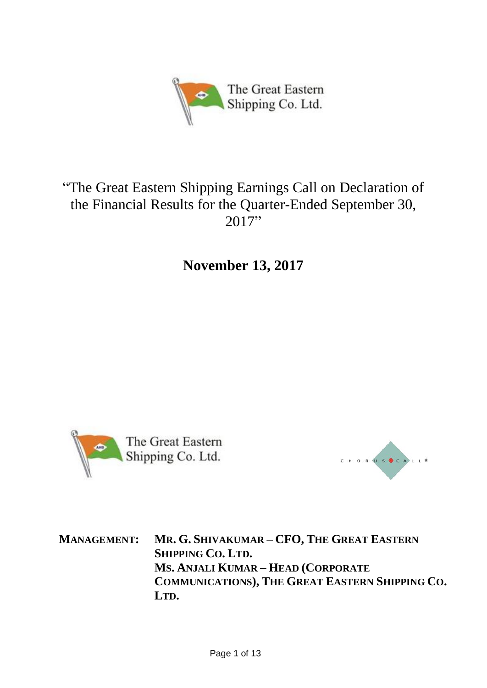

# "The Great Eastern Shipping Earnings Call on Declaration of the Financial Results for the Quarter-Ended September 30, 2017"

**November 13, 2017**





**MANAGEMENT: MR. G. SHIVAKUMAR – CFO, THE GREAT EASTERN SHIPPING CO. LTD. MS. ANJALI KUMAR – HEAD (CORPORATE COMMUNICATIONS), THE GREAT EASTERN SHIPPING CO. LTD.**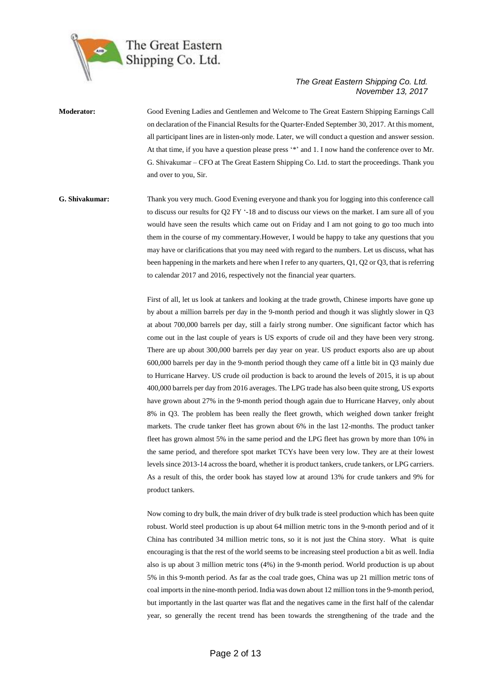

## **Moderator:** Good Evening Ladies and Gentlemen and Welcome to The Great Eastern Shipping Earnings Call on declaration of the Financial Results for the Quarter-Ended September 30, 2017. At this moment, all participant lines are in listen-only mode. Later, we will conduct a question and answer session. At that time, if you have a question please press '\*' and 1. I now hand the conference over to Mr. G. Shivakumar – CFO at The Great Eastern Shipping Co. Ltd. to start the proceedings. Thank you and over to you, Sir.

### **G. Shivakumar:** Thank you very much. Good Evening everyone and thank you for logging into this conference call to discuss our results for Q2 FY '-18 and to discuss our views on the market. I am sure all of you would have seen the results which came out on Friday and I am not going to go too much into them in the course of my commentary.However, I would be happy to take any questions that you may have or clarifications that you may need with regard to the numbers. Let us discuss, what has been happening in the markets and here when I refer to any quarters, Q1, Q2 or Q3, that is referring to calendar 2017 and 2016, respectively not the financial year quarters.

First of all, let us look at tankers and looking at the trade growth, Chinese imports have gone up by about a million barrels per day in the 9-month period and though it was slightly slower in Q3 at about 700,000 barrels per day, still a fairly strong number. One significant factor which has come out in the last couple of years is US exports of crude oil and they have been very strong. There are up about 300,000 barrels per day year on year. US product exports also are up about 600,000 barrels per day in the 9-month period though they came off a little bit in Q3 mainly due to Hurricane Harvey. US crude oil production is back to around the levels of 2015, it is up about 400,000 barrels per day from 2016 averages. The LPG trade has also been quite strong, US exports have grown about 27% in the 9-month period though again due to Hurricane Harvey, only about 8% in Q3. The problem has been really the fleet growth, which weighed down tanker freight markets. The crude tanker fleet has grown about 6% in the last 12-months. The product tanker fleet has grown almost 5% in the same period and the LPG fleet has grown by more than 10% in the same period, and therefore spot market TCYs have been very low. They are at their lowest levels since 2013-14 across the board, whether it is product tankers, crude tankers, or LPG carriers. As a result of this, the order book has stayed low at around 13% for crude tankers and 9% for product tankers.

Now coming to dry bulk, the main driver of dry bulk trade is steel production which has been quite robust. World steel production is up about 64 million metric tons in the 9-month period and of it China has contributed 34 million metric tons, so it is not just the China story. What is quite encouraging is that the rest of the world seems to be increasing steel production a bit as well. India also is up about 3 million metric tons (4%) in the 9-month period. World production is up about 5% in this 9-month period. As far as the coal trade goes, China was up 21 million metric tons of coal imports in the nine-month period. India was down about 12 million tons in the 9-month period, but importantly in the last quarter was flat and the negatives came in the first half of the calendar year, so generally the recent trend has been towards the strengthening of the trade and the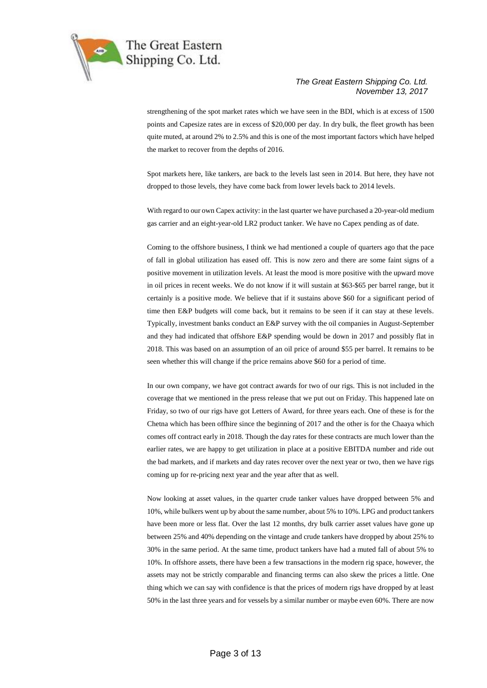

strengthening of the spot market rates which we have seen in the BDI, which is at excess of 1500 points and Capesize rates are in excess of \$20,000 per day. In dry bulk, the fleet growth has been quite muted, at around 2% to 2.5% and this is one of the most important factors which have helped the market to recover from the depths of 2016.

Spot markets here, like tankers, are back to the levels last seen in 2014. But here, they have not dropped to those levels, they have come back from lower levels back to 2014 levels.

With regard to our own Capex activity: in the last quarter we have purchased a 20-year-old medium gas carrier and an eight-year-old LR2 product tanker. We have no Capex pending as of date.

Coming to the offshore business, I think we had mentioned a couple of quarters ago that the pace of fall in global utilization has eased off. This is now zero and there are some faint signs of a positive movement in utilization levels. At least the mood is more positive with the upward move in oil prices in recent weeks. We do not know if it will sustain at \$63-\$65 per barrel range, but it certainly is a positive mode. We believe that if it sustains above \$60 for a significant period of time then E&P budgets will come back, but it remains to be seen if it can stay at these levels. Typically, investment banks conduct an E&P survey with the oil companies in August-September and they had indicated that offshore E&P spending would be down in 2017 and possibly flat in 2018. This was based on an assumption of an oil price of around \$55 per barrel. It remains to be seen whether this will change if the price remains above \$60 for a period of time.

In our own company, we have got contract awards for two of our rigs. This is not included in the coverage that we mentioned in the press release that we put out on Friday. This happened late on Friday, so two of our rigs have got Letters of Award, for three years each. One of these is for the Chetna which has been offhire since the beginning of 2017 and the other is for the Chaaya which comes off contract early in 2018. Though the day rates for these contracts are much lower than the earlier rates, we are happy to get utilization in place at a positive EBITDA number and ride out the bad markets, and if markets and day rates recover over the next year or two, then we have rigs coming up for re-pricing next year and the year after that as well.

Now looking at asset values, in the quarter crude tanker values have dropped between 5% and 10%, while bulkers went up by about the same number, about 5% to 10%. LPG and product tankers have been more or less flat. Over the last 12 months, dry bulk carrier asset values have gone up between 25% and 40% depending on the vintage and crude tankers have dropped by about 25% to 30% in the same period. At the same time, product tankers have had a muted fall of about 5% to 10%. In offshore assets, there have been a few transactions in the modern rig space, however, the assets may not be strictly comparable and financing terms can also skew the prices a little. One thing which we can say with confidence is that the prices of modern rigs have dropped by at least 50% in the last three years and for vessels by a similar number or maybe even 60%. There are now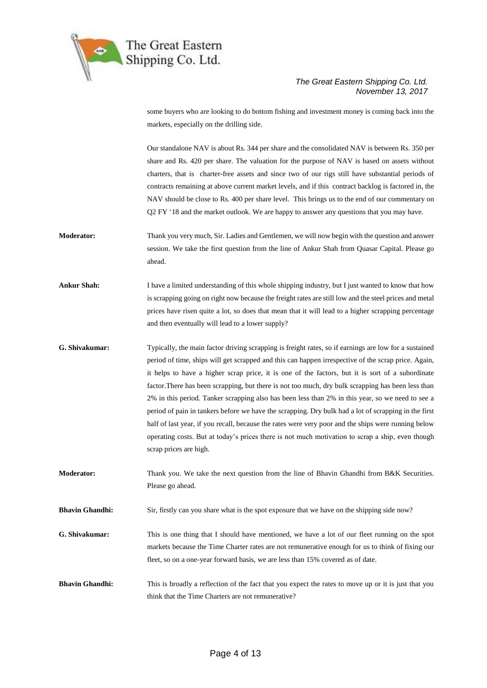

some buyers who are looking to do bottom fishing and investment money is coming back into the markets, especially on the drilling side.

Our standalone NAV is about Rs. 344 per share and the consolidated NAV is between Rs. 350 per share and Rs. 420 per share. The valuation for the purpose of NAV is based on assets without charters, that is charter-free assets and since two of our rigs still have substantial periods of contracts remaining at above current market levels, and if this contract backlog is factored in, the NAV should be close to Rs. 400 per share level. This brings us to the end of our commentary on Q2 FY '18 and the market outlook. We are happy to answer any questions that you may have.

- **Moderator:** Thank you very much, Sir. Ladies and Gentlemen, we will now begin with the question and answer session. We take the first question from the line of Ankur Shah from Quasar Capital. Please go ahead.
- **Ankur Shah:** I have a limited understanding of this whole shipping industry, but I just wanted to know that how is scrapping going on right now because the freight rates are still low and the steel prices and metal prices have risen quite a lot, so does that mean that it will lead to a higher scrapping percentage and then eventually will lead to a lower supply?
- **G. Shivakumar:** Typically, the main factor driving scrapping is freight rates, so if earnings are low for a sustained period of time, ships will get scrapped and this can happen irrespective of the scrap price. Again, it helps to have a higher scrap price, it is one of the factors, but it is sort of a subordinate factor.There has been scrapping, but there is not too much, dry bulk scrapping has been less than 2% in this period. Tanker scrapping also has been less than 2% in this year, so we need to see a period of pain in tankers before we have the scrapping. Dry bulk had a lot of scrapping in the first half of last year, if you recall, because the rates were very poor and the ships were running below operating costs. But at today's prices there is not much motivation to scrap a ship, even though scrap prices are high.
- **Moderator:** Thank you. We take the next question from the line of Bhavin Ghandhi from B&K Securities. Please go ahead.

**Bhavin Ghandhi:** Sir, firstly can you share what is the spot exposure that we have on the shipping side now?

- **G. Shivakumar:** This is one thing that I should have mentioned, we have a lot of our fleet running on the spot markets because the Time Charter rates are not remunerative enough for us to think of fixing our fleet, so on a one-year forward basis, we are less than 15% covered as of date.
- **Bhavin Ghandhi:** This is broadly a reflection of the fact that you expect the rates to move up or it is just that you think that the Time Charters are not remunerative?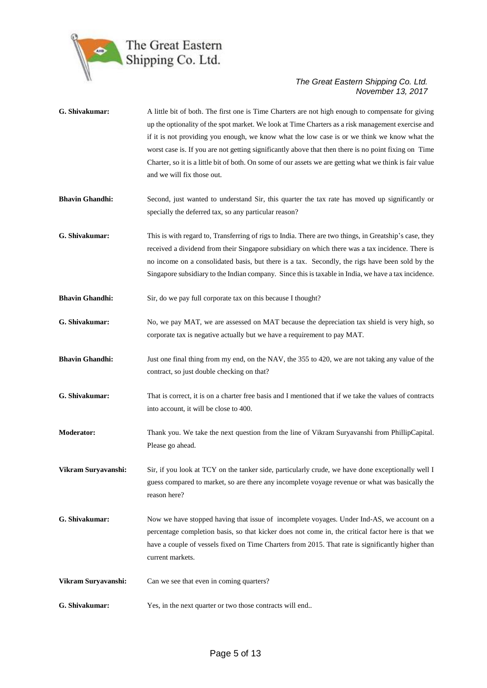

| G. Shivakumar:         | A little bit of both. The first one is Time Charters are not high enough to compensate for giving<br>up the optionality of the spot market. We look at Time Charters as a risk management exercise and<br>if it is not providing you enough, we know what the low case is or we think we know what the<br>worst case is. If you are not getting significantly above that then there is no point fixing on Time<br>Charter, so it is a little bit of both. On some of our assets we are getting what we think is fair value<br>and we will fix those out. |
|------------------------|----------------------------------------------------------------------------------------------------------------------------------------------------------------------------------------------------------------------------------------------------------------------------------------------------------------------------------------------------------------------------------------------------------------------------------------------------------------------------------------------------------------------------------------------------------|
| <b>Bhavin Ghandhi:</b> | Second, just wanted to understand Sir, this quarter the tax rate has moved up significantly or<br>specially the deferred tax, so any particular reason?                                                                                                                                                                                                                                                                                                                                                                                                  |
| G. Shivakumar:         | This is with regard to, Transferring of rigs to India. There are two things, in Greatship's case, they<br>received a dividend from their Singapore subsidiary on which there was a tax incidence. There is<br>no income on a consolidated basis, but there is a tax. Secondly, the rigs have been sold by the<br>Singapore subsidiary to the Indian company. Since this is taxable in India, we have a tax incidence.                                                                                                                                    |
| <b>Bhavin Ghandhi:</b> | Sir, do we pay full corporate tax on this because I thought?                                                                                                                                                                                                                                                                                                                                                                                                                                                                                             |
| G. Shivakumar:         | No, we pay MAT, we are assessed on MAT because the depreciation tax shield is very high, so<br>corporate tax is negative actually but we have a requirement to pay MAT.                                                                                                                                                                                                                                                                                                                                                                                  |
| <b>Bhavin Ghandhi:</b> | Just one final thing from my end, on the NAV, the 355 to 420, we are not taking any value of the<br>contract, so just double checking on that?                                                                                                                                                                                                                                                                                                                                                                                                           |
| G. Shivakumar:         | That is correct, it is on a charter free basis and I mentioned that if we take the values of contracts<br>into account, it will be close to 400.                                                                                                                                                                                                                                                                                                                                                                                                         |
| <b>Moderator:</b>      | Thank you. We take the next question from the line of Vikram Suryavanshi from PhillipCapital.<br>Please go ahead.                                                                                                                                                                                                                                                                                                                                                                                                                                        |
| Vikram Suryavanshi:    | Sir, if you look at TCY on the tanker side, particularly crude, we have done exceptionally well I<br>guess compared to market, so are there any incomplete voyage revenue or what was basically the<br>reason here?                                                                                                                                                                                                                                                                                                                                      |
| G. Shivakumar:         | Now we have stopped having that issue of incomplete voyages. Under Ind-AS, we account on a<br>percentage completion basis, so that kicker does not come in, the critical factor here is that we<br>have a couple of vessels fixed on Time Charters from 2015. That rate is significantly higher than<br>current markets.                                                                                                                                                                                                                                 |
| Vikram Suryavanshi:    | Can we see that even in coming quarters?                                                                                                                                                                                                                                                                                                                                                                                                                                                                                                                 |
| G. Shivakumar:         | Yes, in the next quarter or two those contracts will end                                                                                                                                                                                                                                                                                                                                                                                                                                                                                                 |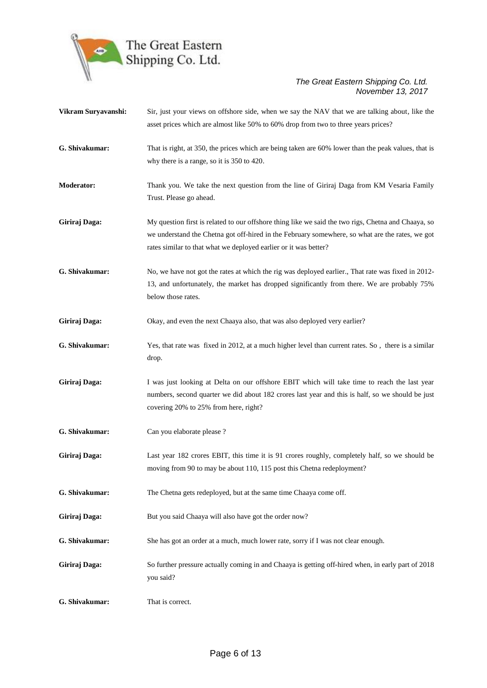

| Vikram Suryavanshi: | Sir, just your views on offshore side, when we say the NAV that we are talking about, like the<br>asset prices which are almost like 50% to 60% drop from two to three years prices?                                                                                       |
|---------------------|----------------------------------------------------------------------------------------------------------------------------------------------------------------------------------------------------------------------------------------------------------------------------|
| G. Shivakumar:      | That is right, at 350, the prices which are being taken are 60% lower than the peak values, that is<br>why there is a range, so it is 350 to 420.                                                                                                                          |
| <b>Moderator:</b>   | Thank you. We take the next question from the line of Giriraj Daga from KM Vesaria Family<br>Trust. Please go ahead.                                                                                                                                                       |
| Giriraj Daga:       | My question first is related to our offshore thing like we said the two rigs, Chetna and Chaaya, so<br>we understand the Chetna got off-hired in the February somewhere, so what are the rates, we got<br>rates similar to that what we deployed earlier or it was better? |
| G. Shivakumar:      | No, we have not got the rates at which the rig was deployed earlier., That rate was fixed in 2012-<br>13, and unfortunately, the market has dropped significantly from there. We are probably 75%<br>below those rates.                                                    |
| Giriraj Daga:       | Okay, and even the next Chaaya also, that was also deployed very earlier?                                                                                                                                                                                                  |
| G. Shivakumar:      | Yes, that rate was fixed in 2012, at a much higher level than current rates. So, there is a similar<br>drop.                                                                                                                                                               |
| Giriraj Daga:       | I was just looking at Delta on our offshore EBIT which will take time to reach the last year<br>numbers, second quarter we did about 182 crores last year and this is half, so we should be just<br>covering 20% to 25% from here, right?                                  |
| G. Shivakumar:      | Can you elaborate please ?                                                                                                                                                                                                                                                 |
| Giriraj Daga:       | Last year 182 crores EBIT, this time it is 91 crores roughly, completely half, so we should be<br>moving from 90 to may be about 110, 115 post this Chetna redeployment?                                                                                                   |
| G. Shivakumar:      | The Chetna gets redeployed, but at the same time Chaaya come off.                                                                                                                                                                                                          |
| Giriraj Daga:       | But you said Chaaya will also have got the order now?                                                                                                                                                                                                                      |
| G. Shivakumar:      | She has got an order at a much, much lower rate, sorry if I was not clear enough.                                                                                                                                                                                          |
| Giriraj Daga:       | So further pressure actually coming in and Chaaya is getting off-hired when, in early part of 2018<br>you said?                                                                                                                                                            |
| G. Shivakumar:      | That is correct.                                                                                                                                                                                                                                                           |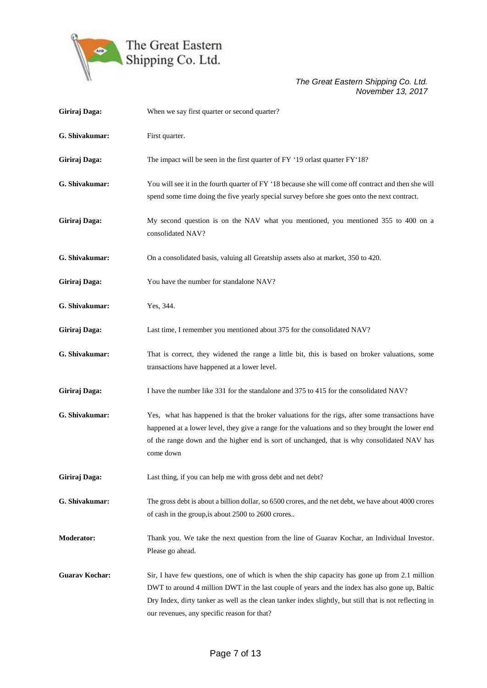

| Giriraj Daga:         | When we say first quarter or second quarter?                                                                                                                                                                                                                                                                                                               |
|-----------------------|------------------------------------------------------------------------------------------------------------------------------------------------------------------------------------------------------------------------------------------------------------------------------------------------------------------------------------------------------------|
| G. Shivakumar:        | First quarter.                                                                                                                                                                                                                                                                                                                                             |
| Giriraj Daga:         | The impact will be seen in the first quarter of FY '19 orlast quarter FY'18?                                                                                                                                                                                                                                                                               |
| G. Shivakumar:        | You will see it in the fourth quarter of FY '18 because she will come off contract and then she will<br>spend some time doing the five yearly special survey before she goes onto the next contract.                                                                                                                                                       |
| Giriraj Daga:         | My second question is on the NAV what you mentioned, you mentioned 355 to 400 on a<br>consolidated NAV?                                                                                                                                                                                                                                                    |
| G. Shivakumar:        | On a consolidated basis, valuing all Greatship assets also at market, 350 to 420.                                                                                                                                                                                                                                                                          |
| Giriraj Daga:         | You have the number for standalone NAV?                                                                                                                                                                                                                                                                                                                    |
| G. Shivakumar:        | Yes, 344.                                                                                                                                                                                                                                                                                                                                                  |
| Giriraj Daga:         | Last time, I remember you mentioned about 375 for the consolidated NAV?                                                                                                                                                                                                                                                                                    |
| G. Shivakumar:        | That is correct, they widened the range a little bit, this is based on broker valuations, some<br>transactions have happened at a lower level.                                                                                                                                                                                                             |
| Giriraj Daga:         | I have the number like 331 for the standalone and 375 to 415 for the consolidated NAV?                                                                                                                                                                                                                                                                     |
| G. Shivakumar:        | Yes, what has happened is that the broker valuations for the rigs, after some transactions have<br>happened at a lower level, they give a range for the valuations and so they brought the lower end<br>of the range down and the higher end is sort of unchanged, that is why consolidated NAV has<br>come down                                           |
| Giriraj Daga:         | Last thing, if you can help me with gross debt and net debt?                                                                                                                                                                                                                                                                                               |
| G. Shivakumar:        | The gross debt is about a billion dollar, so 6500 crores, and the net debt, we have about 4000 crores<br>of cash in the group, is about 2500 to 2600 crores                                                                                                                                                                                                |
| <b>Moderator:</b>     | Thank you. We take the next question from the line of Guarav Kochar, an Individual Investor.<br>Please go ahead.                                                                                                                                                                                                                                           |
| <b>Guarav Kochar:</b> | Sir, I have few questions, one of which is when the ship capacity has gone up from 2.1 million<br>DWT to around 4 million DWT in the last couple of years and the index has also gone up, Baltic<br>Dry Index, dirty tanker as well as the clean tanker index slightly, but still that is not reflecting in<br>our revenues, any specific reason for that? |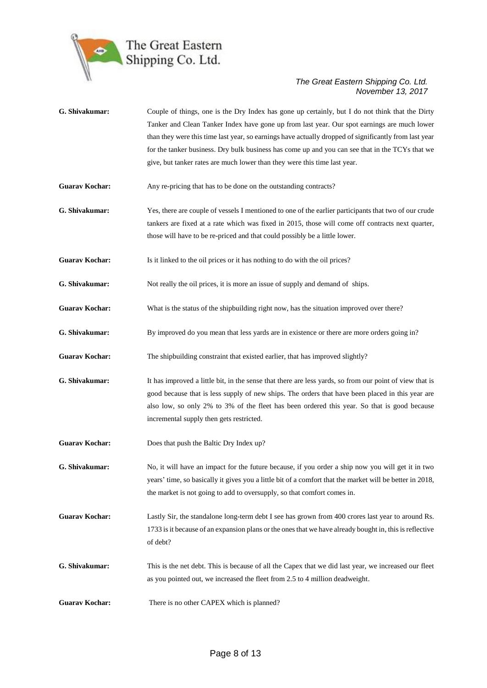

| G. Shivakumar:        | Couple of things, one is the Dry Index has gone up certainly, but I do not think that the Dirty<br>Tanker and Clean Tanker Index have gone up from last year. Our spot earnings are much lower<br>than they were this time last year, so earnings have actually dropped of significantly from last year<br>for the tanker business. Dry bulk business has come up and you can see that in the TCYs that we<br>give, but tanker rates are much lower than they were this time last year. |
|-----------------------|-----------------------------------------------------------------------------------------------------------------------------------------------------------------------------------------------------------------------------------------------------------------------------------------------------------------------------------------------------------------------------------------------------------------------------------------------------------------------------------------|
| <b>Guarav Kochar:</b> | Any re-pricing that has to be done on the outstanding contracts?                                                                                                                                                                                                                                                                                                                                                                                                                        |
| G. Shivakumar:        | Yes, there are couple of vessels I mentioned to one of the earlier participants that two of our crude<br>tankers are fixed at a rate which was fixed in 2015, those will come off contracts next quarter,<br>those will have to be re-priced and that could possibly be a little lower.                                                                                                                                                                                                 |
| <b>Guarav Kochar:</b> | Is it linked to the oil prices or it has nothing to do with the oil prices?                                                                                                                                                                                                                                                                                                                                                                                                             |
| G. Shivakumar:        | Not really the oil prices, it is more an issue of supply and demand of ships.                                                                                                                                                                                                                                                                                                                                                                                                           |
| <b>Guarav Kochar:</b> | What is the status of the shipbuilding right now, has the situation improved over there?                                                                                                                                                                                                                                                                                                                                                                                                |
| G. Shivakumar:        | By improved do you mean that less yards are in existence or there are more orders going in?                                                                                                                                                                                                                                                                                                                                                                                             |
| <b>Guarav Kochar:</b> | The shipbuilding constraint that existed earlier, that has improved slightly?                                                                                                                                                                                                                                                                                                                                                                                                           |
| G. Shivakumar:        | It has improved a little bit, in the sense that there are less yards, so from our point of view that is<br>good because that is less supply of new ships. The orders that have been placed in this year are<br>also low, so only 2% to 3% of the fleet has been ordered this year. So that is good because<br>incremental supply then gets restricted.                                                                                                                                  |
| <b>Guarav Kochar:</b> | Does that push the Baltic Dry Index up?                                                                                                                                                                                                                                                                                                                                                                                                                                                 |
| G. Shivakumar:        | No, it will have an impact for the future because, if you order a ship now you will get it in two<br>years' time, so basically it gives you a little bit of a comfort that the market will be better in 2018,<br>the market is not going to add to oversupply, so that comfort comes in.                                                                                                                                                                                                |
| <b>Guarav Kochar:</b> | Lastly Sir, the standalone long-term debt I see has grown from 400 crores last year to around Rs.<br>1733 is it because of an expansion plans or the ones that we have already bought in, this is reflective<br>of debt?                                                                                                                                                                                                                                                                |
| G. Shivakumar:        | This is the net debt. This is because of all the Capex that we did last year, we increased our fleet<br>as you pointed out, we increased the fleet from 2.5 to 4 million deadweight.                                                                                                                                                                                                                                                                                                    |
| <b>Guarav Kochar:</b> | There is no other CAPEX which is planned?                                                                                                                                                                                                                                                                                                                                                                                                                                               |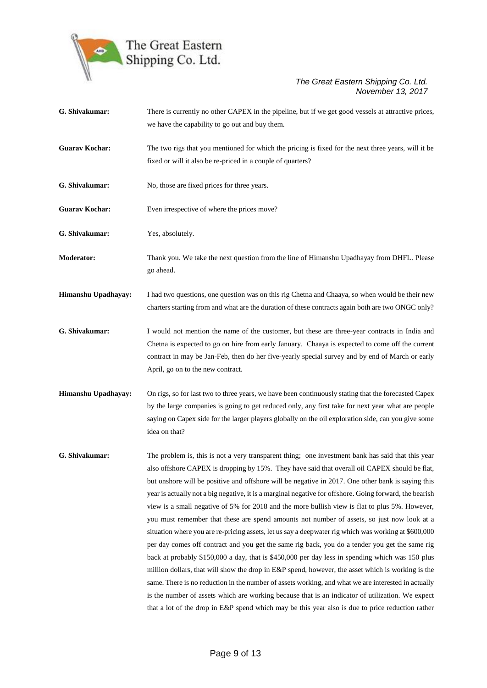

| G. Shivakumar:        | There is currently no other CAPEX in the pipeline, but if we get good vessels at attractive prices,                                                                                                     |
|-----------------------|---------------------------------------------------------------------------------------------------------------------------------------------------------------------------------------------------------|
|                       | we have the capability to go out and buy them.                                                                                                                                                          |
| <b>Guarav Kochar:</b> | The two rigs that you mentioned for which the pricing is fixed for the next three years, will it be                                                                                                     |
|                       | fixed or will it also be re-priced in a couple of quarters?                                                                                                                                             |
| G. Shivakumar:        | No, those are fixed prices for three years.                                                                                                                                                             |
| <b>Guarav Kochar:</b> | Even irrespective of where the prices move?                                                                                                                                                             |
| G. Shivakumar:        | Yes, absolutely.                                                                                                                                                                                        |
| <b>Moderator:</b>     | Thank you. We take the next question from the line of Himanshu Upadhayay from DHFL. Please<br>go ahead.                                                                                                 |
| Himanshu Upadhayay:   | I had two questions, one question was on this rig Chetna and Chaaya, so when would be their new                                                                                                         |
|                       | charters starting from and what are the duration of these contracts again both are two ONGC only?                                                                                                       |
| G. Shivakumar:        | I would not mention the name of the customer, but these are three-year contracts in India and                                                                                                           |
|                       | Chetna is expected to go on hire from early January. Chaaya is expected to come off the current                                                                                                         |
|                       | contract in may be Jan-Feb, then do her five-yearly special survey and by end of March or early                                                                                                         |
|                       | April, go on to the new contract.                                                                                                                                                                       |
| Himanshu Upadhayay:   | On rigs, so for last two to three years, we have been continuously stating that the forecasted Capex                                                                                                    |
|                       | by the large companies is going to get reduced only, any first take for next year what are people                                                                                                       |
|                       | saying on Capex side for the larger players globally on the oil exploration side, can you give some<br>idea on that?                                                                                    |
| G. Shivakumar:        | The problem is, this is not a very transparent thing; one investment bank has said that this year                                                                                                       |
|                       | also offshore CAPEX is dropping by 15%. They have said that overall oil CAPEX should be flat,                                                                                                           |
|                       | but onshore will be positive and offshore will be negative in 2017. One other bank is saying this                                                                                                       |
|                       | year is actually not a big negative, it is a marginal negative for offshore. Going forward, the bearish                                                                                                 |
|                       | view is a small negative of 5% for 2018 and the more bullish view is flat to plus 5%. However,                                                                                                          |
|                       | you must remember that these are spend amounts not number of assets, so just now look at a                                                                                                              |
|                       | situation where you are re-pricing assets, let us say a deepwater rig which was working at \$600,000                                                                                                    |
|                       | per day comes off contract and you get the same rig back, you do a tender you get the same rig                                                                                                          |
|                       | back at probably \$150,000 a day, that is \$450,000 per day less in spending which was 150 plus                                                                                                         |
|                       | million dollars, that will show the drop in E&P spend, however, the asset which is working is the                                                                                                       |
|                       | same. There is no reduction in the number of assets working, and what we are interested in actually<br>is the number of assets which are working because that is an indicator of utilization. We expect |
|                       | that a lot of the drop in E&P spend which may be this year also is due to price reduction rather                                                                                                        |
|                       |                                                                                                                                                                                                         |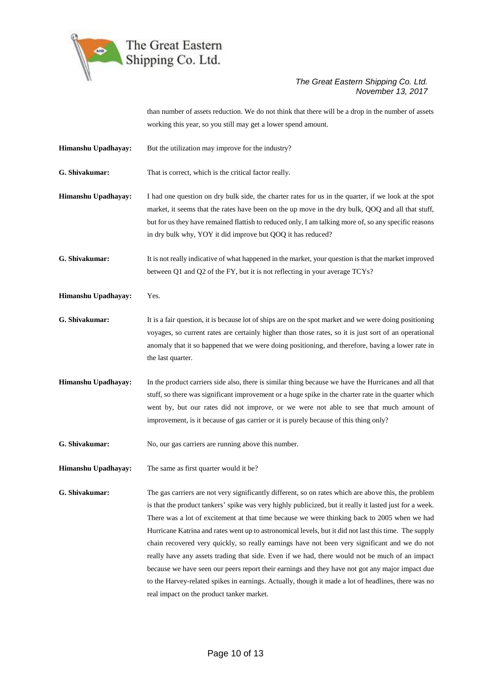

than number of assets reduction. We do not think that there will be a drop in the number of assets working this year, so you still may get a lower spend amount.

**Himanshu Upadhayay:** But the utilization may improve for the industry?

**G. Shivakumar:** That is correct, which is the critical factor really.

**Himanshu Upadhayay:** I had one question on dry bulk side, the charter rates for us in the quarter, if we look at the spot market, it seems that the rates have been on the up move in the dry bulk, QOQ and all that stuff, but for us they have remained flattish to reduced only, I am talking more of, so any specific reasons in dry bulk why, YOY it did improve but QOQ it has reduced?

**G. Shivakumar:** It is not really indicative of what happened in the market, your question is that the market improved between Q1 and Q2 of the FY, but it is not reflecting in your average TCYs?

**Himanshu Upadhayay:** Yes.

**G. Shivakumar:** It is a fair question, it is because lot of ships are on the spot market and we were doing positioning voyages, so current rates are certainly higher than those rates, so it is just sort of an operational anomaly that it so happened that we were doing positioning, and therefore, having a lower rate in the last quarter.

**Himanshu Upadhayay:** In the product carriers side also, there is similar thing because we have the Hurricanes and all that stuff, so there was significant improvement or a huge spike in the charter rate in the quarter which went by, but our rates did not improve, or we were not able to see that much amount of improvement, is it because of gas carrier or it is purely because of this thing only?

**G. Shivakumar:** No, our gas carriers are running above this number.

**Himanshu Upadhayay:** The same as first quarter would it be?

**G. Shivakumar:** The gas carriers are not very significantly different, so on rates which are above this, the problem is that the product tankers' spike was very highly publicized, but it really it lasted just for a week. There was a lot of excitement at that time because we were thinking back to 2005 when we had Hurricane Katrina and rates went up to astronomical levels, but it did not last this time. The supply chain recovered very quickly, so really earnings have not been very significant and we do not really have any assets trading that side. Even if we had, there would not be much of an impact because we have seen our peers report their earnings and they have not got any major impact due to the Harvey-related spikes in earnings. Actually, though it made a lot of headlines, there was no real impact on the product tanker market.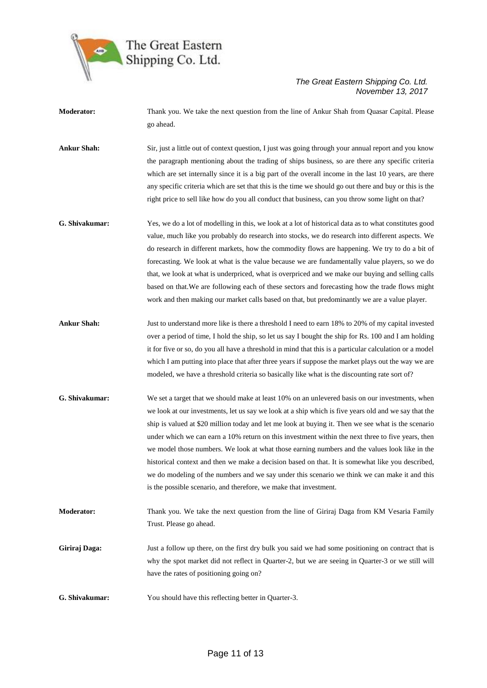

**Moderator:** Thank you. We take the next question from the line of Ankur Shah from Quasar Capital. Please go ahead.

**Ankur Shah:** Sir, just a little out of context question, I just was going through your annual report and you know the paragraph mentioning about the trading of ships business, so are there any specific criteria which are set internally since it is a big part of the overall income in the last 10 years, are there any specific criteria which are set that this is the time we should go out there and buy or this is the right price to sell like how do you all conduct that business, can you throw some light on that?

**G. Shivakumar:** Yes, we do a lot of modelling in this, we look at a lot of historical data as to what constitutes good value, much like you probably do research into stocks, we do research into different aspects. We do research in different markets, how the commodity flows are happening. We try to do a bit of forecasting. We look at what is the value because we are fundamentally value players, so we do that, we look at what is underpriced, what is overpriced and we make our buying and selling calls based on that.We are following each of these sectors and forecasting how the trade flows might work and then making our market calls based on that, but predominantly we are a value player.

- **Ankur Shah:** Just to understand more like is there a threshold I need to earn 18% to 20% of my capital invested over a period of time, I hold the ship, so let us say I bought the ship for Rs. 100 and I am holding it for five or so, do you all have a threshold in mind that this is a particular calculation or a model which I am putting into place that after three years if suppose the market plays out the way we are modeled, we have a threshold criteria so basically like what is the discounting rate sort of?
- **G. Shivakumar:** We set a target that we should make at least 10% on an unlevered basis on our investments, when we look at our investments, let us say we look at a ship which is five years old and we say that the ship is valued at \$20 million today and let me look at buying it. Then we see what is the scenario under which we can earn a 10% return on this investment within the next three to five years, then we model those numbers. We look at what those earning numbers and the values look like in the historical context and then we make a decision based on that. It is somewhat like you described, we do modeling of the numbers and we say under this scenario we think we can make it and this is the possible scenario, and therefore, we make that investment.
- **Moderator:** Thank you. We take the next question from the line of Giriraj Daga from KM Vesaria Family Trust. Please go ahead.
- **Giriraj Daga:** Just a follow up there, on the first dry bulk you said we had some positioning on contract that is why the spot market did not reflect in Quarter-2, but we are seeing in Quarter-3 or we still will have the rates of positioning going on?
- **G. Shivakumar:** You should have this reflecting better in Quarter-3.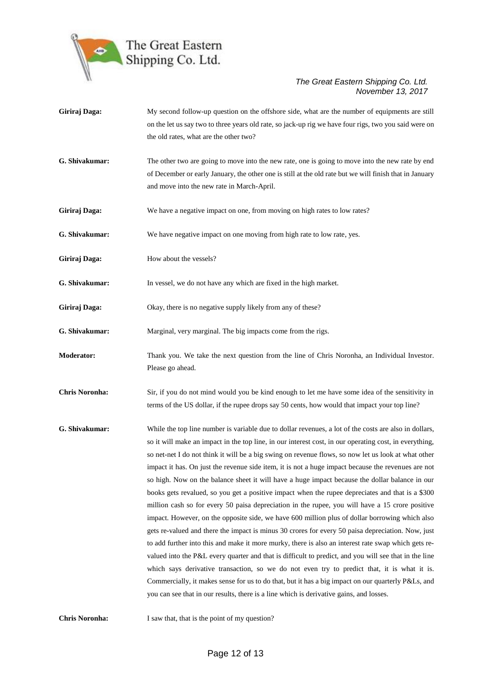

Giriraj Daga: My second follow-up question on the offshore side, what are the number of equipments are still on the let us say two to three years old rate, so jack-up rig we have four rigs, two you said were on the old rates, what are the other two? **G. Shivakumar:** The other two are going to move into the new rate, one is going to move into the new rate by end of December or early January, the other one is still at the old rate but we will finish that in January and move into the new rate in March-April. Giriraj Daga: We have a negative impact on one, from moving on high rates to low rates? **G. Shivakumar:** We have negative impact on one moving from high rate to low rate, yes. Giriraj Daga: How about the vessels? **G. Shivakumar:** In vessel, we do not have any which are fixed in the high market. Giriraj Daga: Okay, there is no negative supply likely from any of these? **G. Shivakumar:** Marginal, very marginal. The big impacts come from the rigs. **Moderator:** Thank you. We take the next question from the line of Chris Noronha, an Individual Investor. Please go ahead. **Chris Noronha:** Sir, if you do not mind would you be kind enough to let me have some idea of the sensitivity in terms of the US dollar, if the rupee drops say 50 cents, how would that impact your top line? **G. Shivakumar:** While the top line number is variable due to dollar revenues, a lot of the costs are also in dollars, so it will make an impact in the top line, in our interest cost, in our operating cost, in everything, so net-net I do not think it will be a big swing on revenue flows, so now let us look at what other impact it has. On just the revenue side item, it is not a huge impact because the revenues are not so high. Now on the balance sheet it will have a huge impact because the dollar balance in our books gets revalued, so you get a positive impact when the rupee depreciates and that is a \$300 million cash so for every 50 paisa depreciation in the rupee, you will have a 15 crore positive impact. However, on the opposite side, we have 600 million plus of dollar borrowing which also gets re-valued and there the impact is minus 30 crores for every 50 paisa depreciation. Now, just to add further into this and make it more murky, there is also an interest rate swap which gets revalued into the P&L every quarter and that is difficult to predict, and you will see that in the line which says derivative transaction, so we do not even try to predict that, it is what it is. Commercially, it makes sense for us to do that, but it has a big impact on our quarterly P&Ls, and you can see that in our results, there is a line which is derivative gains, and losses.

**Chris Noronha:** I saw that, that is the point of my question?